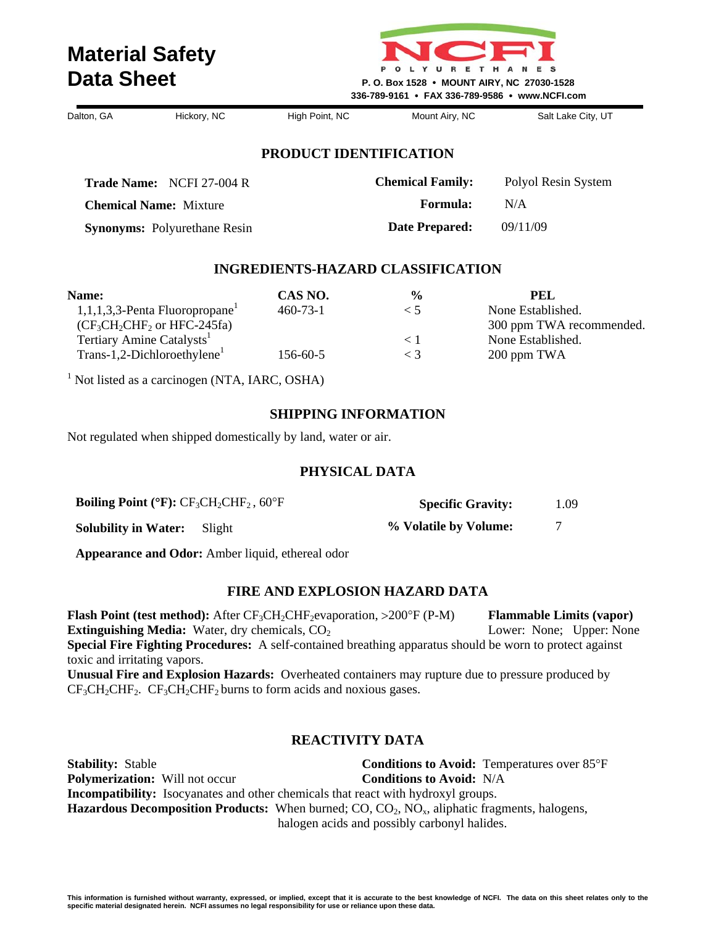

**Chemical Family:** Polyol Resin System

 **Formula:** N/A  **Date Prepared:** 09/11/09

| Dalton, GA | Hickory, NC | High Point, NC | Mount Airy, NC | Salt Lake City, UT |
|------------|-------------|----------------|----------------|--------------------|
|            |             |                |                |                    |

#### **PRODUCT IDENTIFICATION**

**Trade Name:** NCFI 27-004 R

**Chemical Name:** Mixture

**Synonyms:** Polyurethane Resin

#### **INGREDIENTS-HAZARD CLASSIFICATION**

| Name:                                         | CAS NO.        | $\frac{0}{0}$ | PEL                      |
|-----------------------------------------------|----------------|---------------|--------------------------|
| $1,1,1,3,3$ -Penta Fluoropropane <sup>1</sup> | $460 - 73 - 1$ | $<$ 1         | None Established.        |
| $(CF3CH2CHF2$ or HFC-245fa)                   |                |               | 300 ppm TWA recommended. |
| Tertiary Amine Catalysts                      |                | $<$ 1         | None Established.        |
| Trans-1,2-Dichloroethylene <sup>1</sup>       | $156 - 60 - 5$ | $<$ 3         | 200 ppm TWA              |

<sup>1</sup> Not listed as a carcinogen (NTA, IARC, OSHA)

#### **SHIPPING INFORMATION**

Not regulated when shipped domestically by land, water or air.

#### **PHYSICAL DATA**

| <b>Boiling Point (°F):</b> $CF_3CH_2CHF_2$ , 60°F |  | <b>Specific Gravity:</b> | 1.09 |
|---------------------------------------------------|--|--------------------------|------|
| <b>Solubility in Water:</b> Slight                |  | % Volatile by Volume:    |      |

**Appearance and Odor:** Amber liquid, ethereal odor

#### **FIRE AND EXPLOSION HAZARD DATA**

**Flash Point (test method):** After CF<sub>3</sub>CH<sub>2</sub>CHF<sub>2</sub>evaporation, >200°F (P-M) **Flammable Limits (vapor) Extinguishing Media:** Water, dry chemicals, CO<sub>2</sub> Lower: None; Upper: None **Special Fire Fighting Procedures:** A self-contained breathing apparatus should be worn to protect against toxic and irritating vapors. **Unusual Fire and Explosion Hazards:** Overheated containers may rupture due to pressure produced by  $CF<sub>3</sub>CH<sub>2</sub>CHF<sub>2</sub>$ .  $CF<sub>3</sub>CH<sub>2</sub>CHF<sub>2</sub> burns to form acids and novious gases.$ 

### **REACTIVITY DATA**

**Stability:** Stable **Conditions to Avoid:** Temperatures over 85°F **Polymerization:** Will not occur **Conditions to Avoid:** N/A **Incompatibility:** Isocyanates and other chemicals that react with hydroxyl groups. **Hazardous Decomposition Products:** When burned; CO, CO<sub>2</sub>, NO<sub>x</sub>, aliphatic fragments, halogens, halogen acids and possibly carbonyl halides.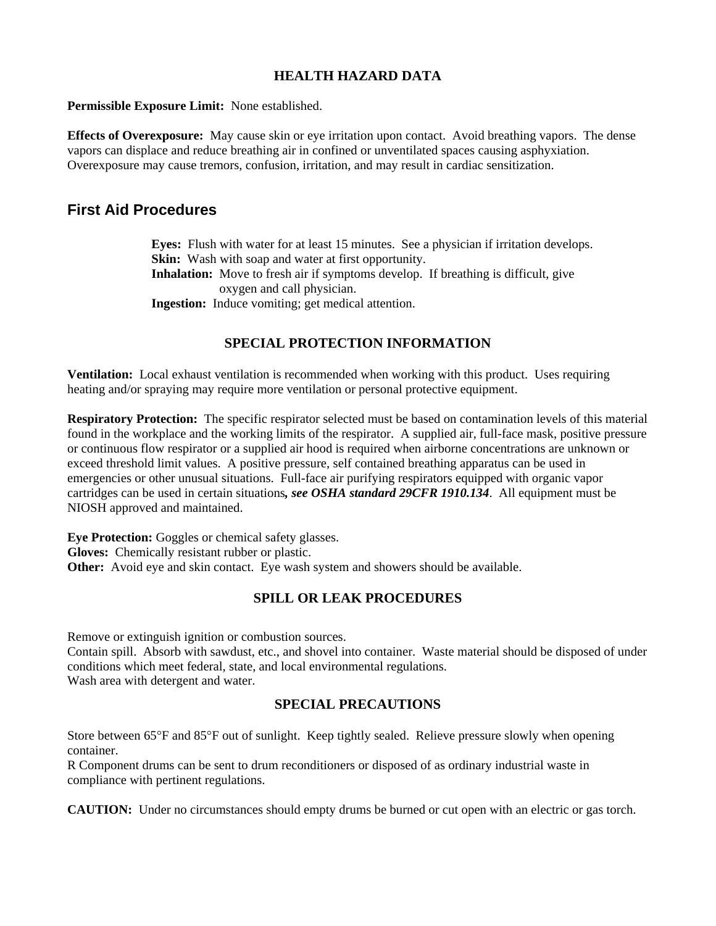**Permissible Exposure Limit:** None established.

**Effects of Overexposure:** May cause skin or eye irritation upon contact. Avoid breathing vapors. The dense vapors can displace and reduce breathing air in confined or unventilated spaces causing asphyxiation. Overexposure may cause tremors, confusion, irritation, and may result in cardiac sensitization.

# **First Aid Procedures**

**Eyes:** Flush with water for at least 15 minutes. See a physician if irritation develops. **Skin:** Wash with soap and water at first opportunity. **Inhalation:** Move to fresh air if symptoms develop. If breathing is difficult, give oxygen and call physician. **Ingestion:** Induce vomiting; get medical attention.

### **SPECIAL PROTECTION INFORMATION**

**Ventilation:** Local exhaust ventilation is recommended when working with this product. Uses requiring heating and/or spraying may require more ventilation or personal protective equipment.

**Respiratory Protection:** The specific respirator selected must be based on contamination levels of this material found in the workplace and the working limits of the respirator. A supplied air, full-face mask, positive pressure or continuous flow respirator or a supplied air hood is required when airborne concentrations are unknown or exceed threshold limit values. A positive pressure, self contained breathing apparatus can be used in emergencies or other unusual situations. Full-face air purifying respirators equipped with organic vapor cartridges can be used in certain situations*, see OSHA standard 29CFR 1910.134*. All equipment must be NIOSH approved and maintained.

**Eye Protection:** Goggles or chemical safety glasses. **Gloves:** Chemically resistant rubber or plastic. **Other:** Avoid eye and skin contact. Eye wash system and showers should be available.

#### **SPILL OR LEAK PROCEDURES**

Remove or extinguish ignition or combustion sources.

Contain spill. Absorb with sawdust, etc., and shovel into container. Waste material should be disposed of under conditions which meet federal, state, and local environmental regulations. Wash area with detergent and water.

#### **SPECIAL PRECAUTIONS**

Store between 65°F and 85°F out of sunlight. Keep tightly sealed. Relieve pressure slowly when opening container.

R Component drums can be sent to drum reconditioners or disposed of as ordinary industrial waste in compliance with pertinent regulations.

**CAUTION:** Under no circumstances should empty drums be burned or cut open with an electric or gas torch.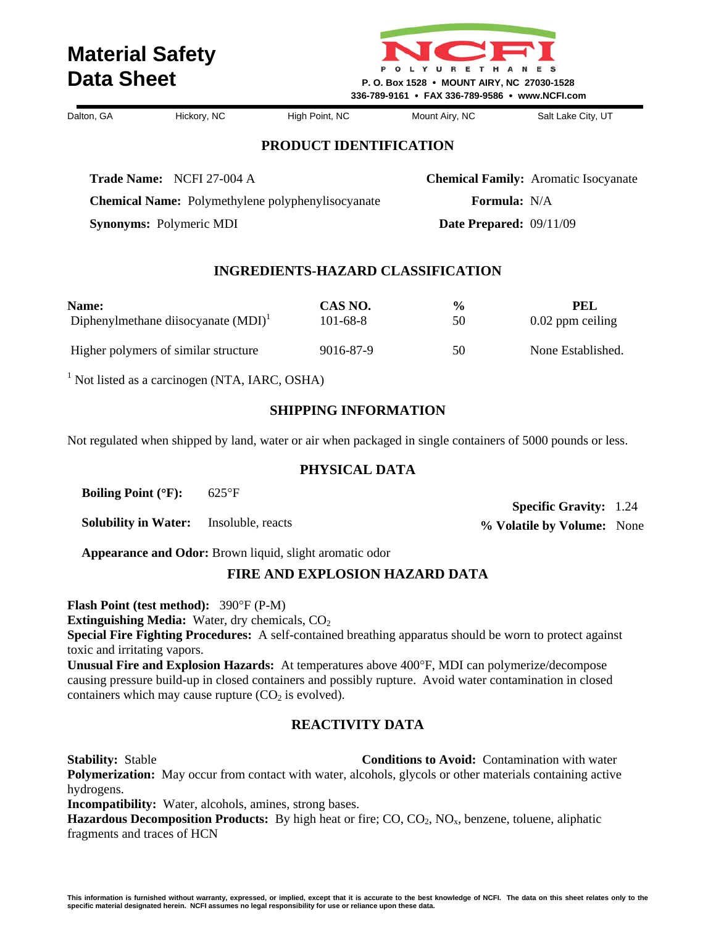

**Chemical Name:** Polymethylene polyphenylisocyanate

Dalton, GA Hickory, NC High Point, NC Mount Airy, NC Salt Lake City, UT

 **Specific Gravity:** 1.24 **% Volatile by Volume:** None

#### **PRODUCT IDENTIFICATION**

**Trade Name:** NCFI 27-004 A

**Chemical Family:** Aromatic Isocyanate  **Formula:** N/A  **Date Prepared:** 09/11/09

**Synonyms:** Polymeric MDI

#### **INGREDIENTS-HAZARD CLASSIFICATION**

| Name:                                  | CAS NO.   | $\frac{6}{9}$ | PEL                |
|----------------------------------------|-----------|---------------|--------------------|
| Diphenylmethane diisocyanate $(MDI)^T$ | 101-68-8  | 50            | $0.02$ ppm ceiling |
| Higher polymers of similar structure   | 9016-87-9 | 50            | None Established.  |

<sup>1</sup> Not listed as a carcinogen (NTA, IARC, OSHA)

#### **SHIPPING INFORMATION**

Not regulated when shipped by land, water or air when packaged in single containers of 5000 pounds or less.

#### **PHYSICAL DATA**

**Boiling Point (**°**F):** 625°F

**Solubility in Water:** Insoluble, reacts

**Appearance and Odor:** Brown liquid, slight aromatic odor

#### **FIRE AND EXPLOSION HAZARD DATA**

**Flash Point (test method):** 390°F (P-M)

**Extinguishing Media:** Water, dry chemicals, CO<sub>2</sub>

**Special Fire Fighting Procedures:** A self-contained breathing apparatus should be worn to protect against toxic and irritating vapors.

**Unusual Fire and Explosion Hazards:** At temperatures above 400°F, MDI can polymerize/decompose causing pressure build-up in closed containers and possibly rupture. Avoid water contamination in closed containers which may cause rupture  $(CO<sub>2</sub>)$  is evolved).

### **REACTIVITY DATA**

**Stability:** Stable **Conditions to Avoid:** Contamination with water **Polymerization:** May occur from contact with water, alcohols, glycols or other materials containing active hydrogens.

**Incompatibility:** Water, alcohols, amines, strong bases.

**Hazardous Decomposition Products:** By high heat or fire; CO, CO<sub>2</sub>, NO<sub>x</sub>, benzene, toluene, aliphatic fragments and traces of HCN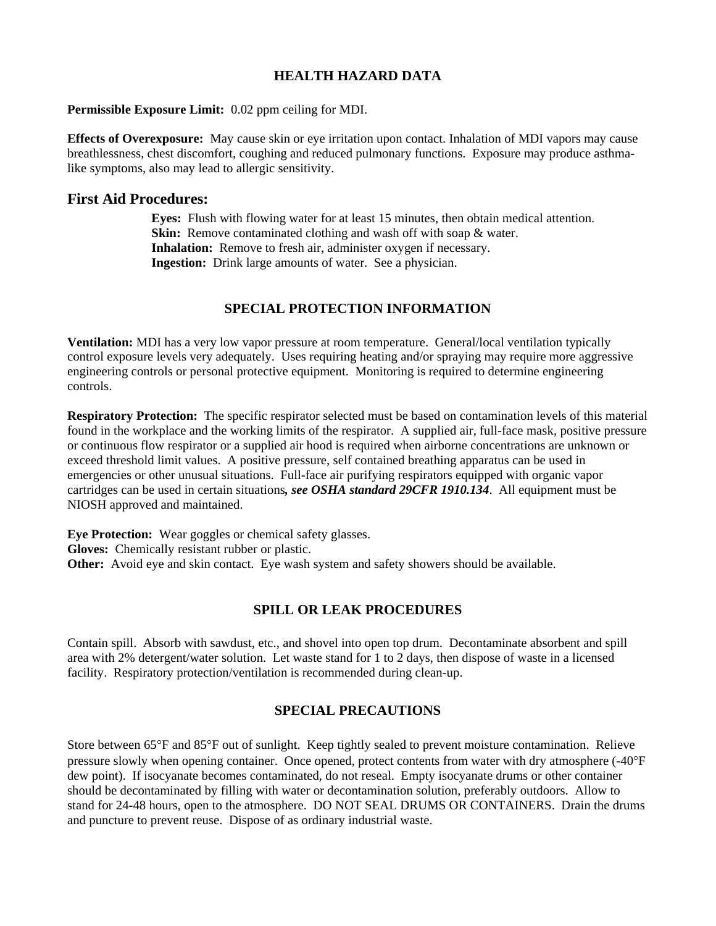#### **Permissible Exposure Limit:** 0.02 ppm ceiling for MDI.

**Effects of Overexposure:** May cause skin or eye irritation upon contact. Inhalation of MDI vapors may cause breathlessness, chest discomfort, coughing and reduced pulmonary functions. Exposure may produce asthmalike symptoms, also may lead to allergic sensitivity.

#### **First Aid Procedures:**

**Eyes:** Flush with flowing water for at least 15 minutes, then obtain medical attention. **Skin:** Remove contaminated clothing and wash off with soap & water. **Inhalation:** Remove to fresh air, administer oxygen if necessary. **Ingestion:** Drink large amounts of water. See a physician.

### **SPECIAL PROTECTION INFORMATION**

**Ventilation:** MDI has a very low vapor pressure at room temperature. General/local ventilation typically control exposure levels very adequately. Uses requiring heating and/or spraying may require more aggressive engineering controls or personal protective equipment. Monitoring is required to determine engineering controls.

**Respiratory Protection:** The specific respirator selected must be based on contamination levels of this material found in the workplace and the working limits of the respirator. A supplied air, full-face mask, positive pressure or continuous flow respirator or a supplied air hood is required when airborne concentrations are unknown or exceed threshold limit values. A positive pressure, self contained breathing apparatus can be used in emergencies or other unusual situations. Full-face air purifying respirators equipped with organic vapor cartridges can be used in certain situations*, see OSHA standard 29CFR 1910.134*. All equipment must be NIOSH approved and maintained.

**Eye Protection:** Wear goggles or chemical safety glasses. **Gloves:** Chemically resistant rubber or plastic. **Other:** Avoid eye and skin contact. Eye wash system and safety showers should be available.

#### **SPILL OR LEAK PROCEDURES**

Contain spill. Absorb with sawdust, etc., and shovel into open top drum. Decontaminate absorbent and spill area with 2% detergent/water solution. Let waste stand for 1 to 2 days, then dispose of waste in a licensed facility. Respiratory protection/ventilation is recommended during clean-up.

#### **SPECIAL PRECAUTIONS**

Store between 65°F and 85°F out of sunlight. Keep tightly sealed to prevent moisture contamination. Relieve pressure slowly when opening container. Once opened, protect contents from water with dry atmosphere (-40°F dew point). If isocyanate becomes contaminated, do not reseal. Empty isocyanate drums or other container should be decontaminated by filling with water or decontamination solution, preferably outdoors. Allow to stand for 24-48 hours, open to the atmosphere. DO NOT SEAL DRUMS OR CONTAINERS. Drain the drums and puncture to prevent reuse. Dispose of as ordinary industrial waste.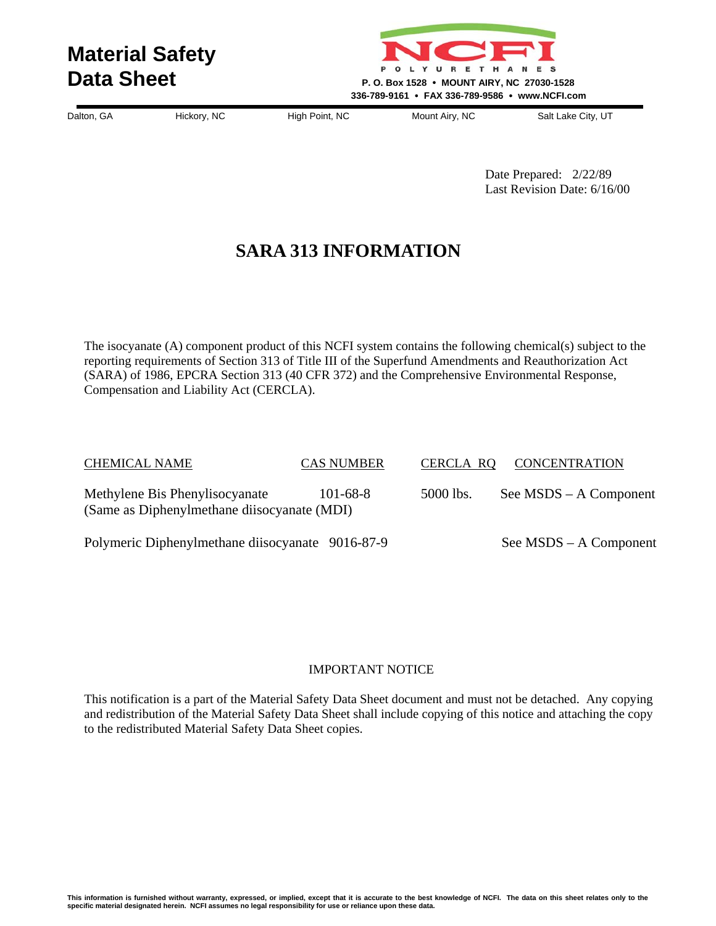

Dalton, GA Hickory, NC High Point, NC Mount Airy, NC Salt Lake City, UT

Date Prepared: 2/22/89 Last Revision Date: 6/16/00

# **SARA 313 INFORMATION**

The isocyanate (A) component product of this NCFI system contains the following chemical(s) subject to the reporting requirements of Section 313 of Title III of the Superfund Amendments and Reauthorization Act (SARA) of 1986, EPCRA Section 313 (40 CFR 372) and the Comprehensive Environmental Response, Compensation and Liability Act (CERCLA).

| <b>CHEMICAL NAME</b>                                                         | <b>CAS NUMBER</b> | <b>CERCLA RQ</b> | <b>CONCENTRATION</b>     |
|------------------------------------------------------------------------------|-------------------|------------------|--------------------------|
| Methylene Bis Phenylisocyanate<br>(Same as Diphenylmethane disocyanate (MDI) | $101 - 68 - 8$    | 5000 lbs.        | See $MSDS - A$ Component |
| Polymeric Diphenylmethane diisocyanate 9016-87-9                             |                   |                  | See MSDS – A Component   |

#### IMPORTANT NOTICE

This notification is a part of the Material Safety Data Sheet document and must not be detached. Any copying and redistribution of the Material Safety Data Sheet shall include copying of this notice and attaching the copy to the redistributed Material Safety Data Sheet copies.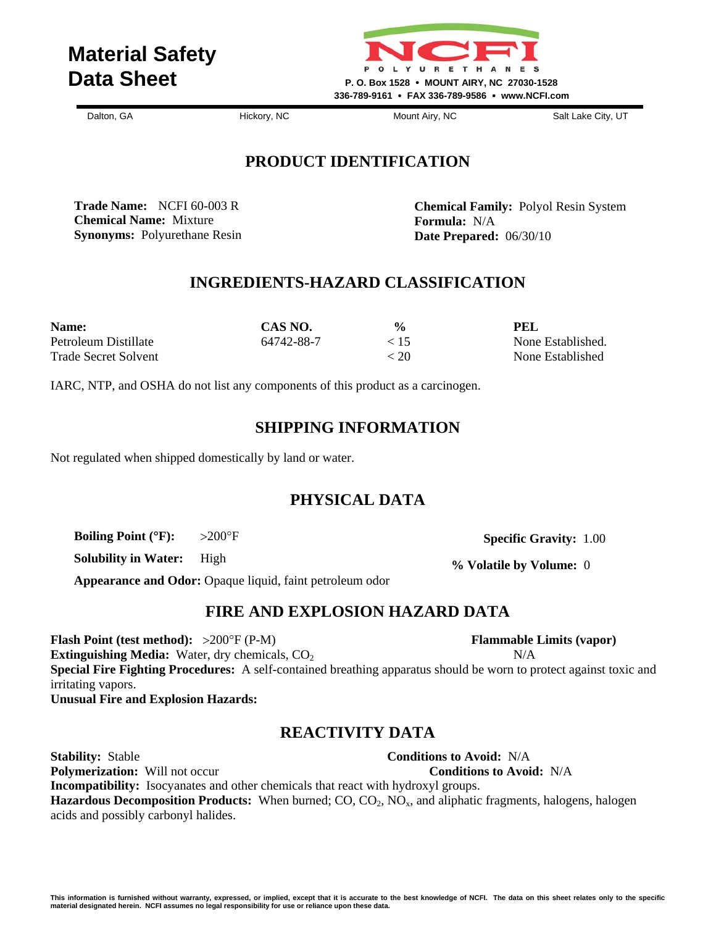

Dalton, GA **Hickory, NC** Mount Airy, NC Salt Lake City, UT

# **PRODUCT IDENTIFICATION**

**Trade Name:** NCFI 60-003 R **Chemical Name:** Mixture **Synonyms:** Polyurethane Resin

**Chemical Family:** Polyol Resin System **Formula:** N/A **Date Prepared:** 06/30/10

# **INGREDIENTS-HAZARD CLASSIFICATION**

| Name:                | CAS NO.    | $\frac{0}{0}$ | PEL               |
|----------------------|------------|---------------|-------------------|
| Petroleum Distillate | 64742-88-7 | < 15          | None Established. |
| Trade Secret Solvent |            | < 20          | None Established  |

IARC, NTP, and OSHA do not list any components of this product as a carcinogen.

### **SHIPPING INFORMATION**

Not regulated when shipped domestically by land or water.

# **PHYSICAL DATA**

**Boiling Point (**°**F):** >200°F

**Solubility in Water:** High

**Appearance and Odor:** Opaque liquid, faint petroleum odor

# **FIRE AND EXPLOSION HAZARD DATA**

**Flash Point (test method):** >200°F (P-M) **Flammable Limits (vapor) Extinguishing Media:** Water, dry chemicals,  $CO<sub>2</sub>$  N/A **Special Fire Fighting Procedures:** A self-contained breathing apparatus should be worn to protect against toxic and irritating vapors. **Unusual Fire and Explosion Hazards:** 

# **REACTIVITY DATA**

**Stability:** Stable **Conditions to Avoid:** N/A **Polymerization:** Will not occur **Conditions to Avoid:** N/A **Incompatibility:** Isocyanates and other chemicals that react with hydroxyl groups. **Hazardous Decomposition Products:** When burned; CO, CO<sub>2</sub>, NO<sub>x</sub>, and aliphatic fragments, halogens, halogen acids and possibly carbonyl halides.

 **Specific Gravity:** 1.00

**% Volatile by Volume:** 0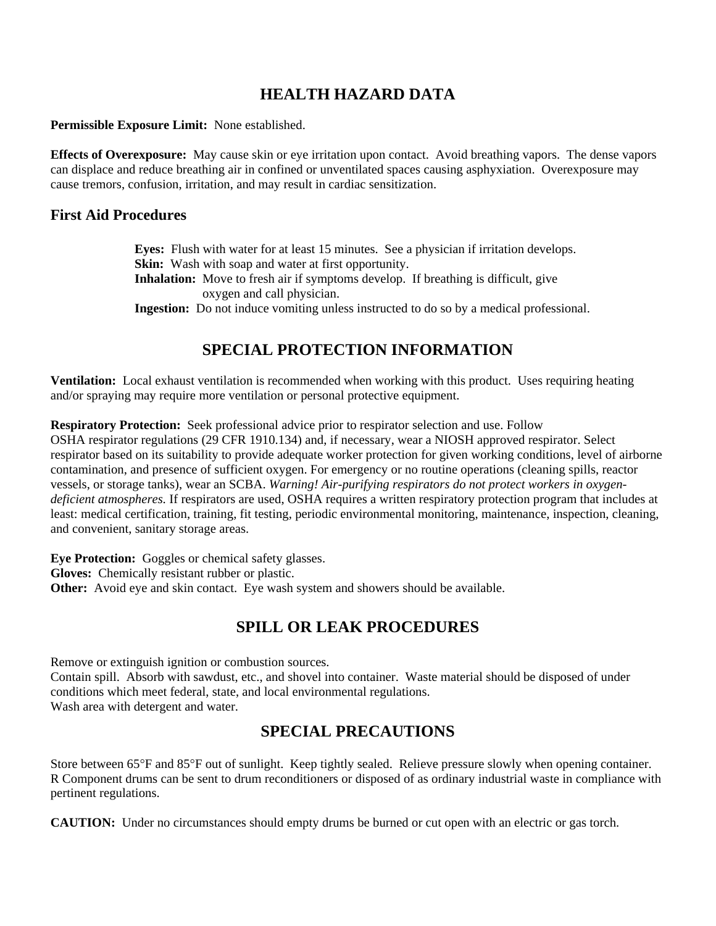**Permissible Exposure Limit:** None established.

**Effects of Overexposure:** May cause skin or eye irritation upon contact. Avoid breathing vapors. The dense vapors can displace and reduce breathing air in confined or unventilated spaces causing asphyxiation. Overexposure may cause tremors, confusion, irritation, and may result in cardiac sensitization.

### **First Aid Procedures**

**Eyes:** Flush with water for at least 15 minutes. See a physician if irritation develops. **Skin:** Wash with soap and water at first opportunity. **Inhalation:** Move to fresh air if symptoms develop. If breathing is difficult, give oxygen and call physician. **Ingestion:** Do not induce vomiting unless instructed to do so by a medical professional.

# **SPECIAL PROTECTION INFORMATION**

**Ventilation:** Local exhaust ventilation is recommended when working with this product. Uses requiring heating and/or spraying may require more ventilation or personal protective equipment.

**Respiratory Protection:** Seek professional advice prior to respirator selection and use. Follow OSHA respirator regulations (29 CFR 1910.134) and, if necessary, wear a NIOSH approved respirator. Select respirator based on its suitability to provide adequate worker protection for given working conditions, level of airborne contamination, and presence of sufficient oxygen. For emergency or no routine operations (cleaning spills, reactor vessels, or storage tanks), wear an SCBA. *Warning! Air-purifying respirators do not protect workers in oxygendeficient atmospheres.* If respirators are used, OSHA requires a written respiratory protection program that includes at least: medical certification, training, fit testing, periodic environmental monitoring, maintenance, inspection, cleaning, and convenient, sanitary storage areas.

**Eye Protection:** Goggles or chemical safety glasses.

**Gloves:** Chemically resistant rubber or plastic.

**Other:** Avoid eye and skin contact. Eye wash system and showers should be available.

# **SPILL OR LEAK PROCEDURES**

Remove or extinguish ignition or combustion sources. Contain spill. Absorb with sawdust, etc., and shovel into container. Waste material should be disposed of under conditions which meet federal, state, and local environmental regulations. Wash area with detergent and water.

# **SPECIAL PRECAUTIONS**

Store between 65°F and 85°F out of sunlight. Keep tightly sealed. Relieve pressure slowly when opening container. R Component drums can be sent to drum reconditioners or disposed of as ordinary industrial waste in compliance with pertinent regulations.

**CAUTION:** Under no circumstances should empty drums be burned or cut open with an electric or gas torch.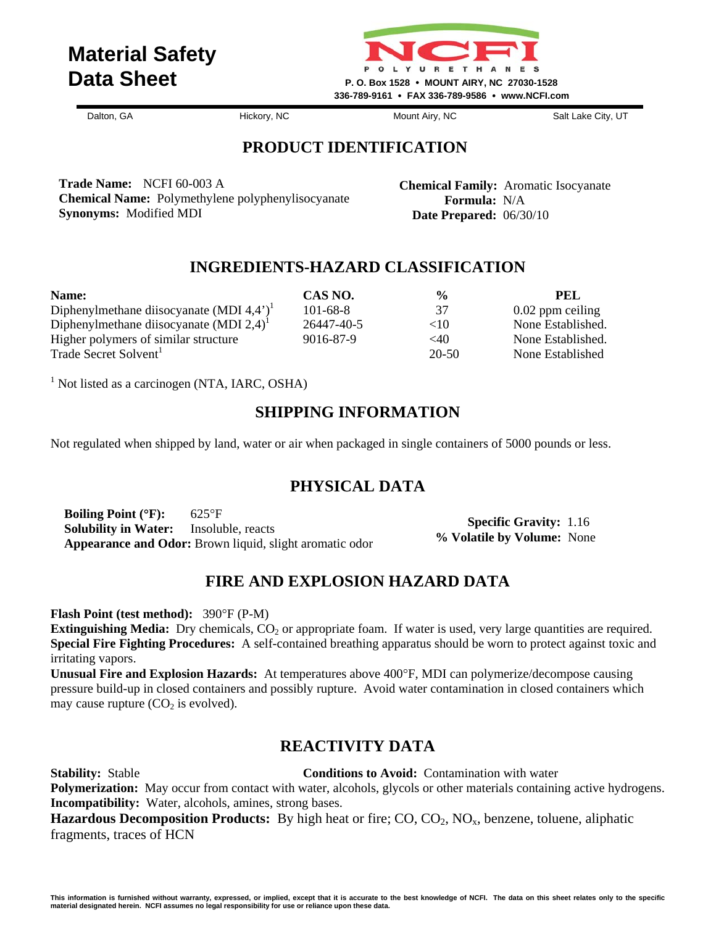

Dalton, GA **Hickory, NC** Mount Airy, NC Salt Lake City, UT

# **PRODUCT IDENTIFICATION**

**Trade Name:** NCFI 60-003 A **Chemical Name:** Polymethylene polyphenylisocyanate **Synonyms:** Modified MDI

**Chemical Family:** Aromatic Isocyanate  **Formula:** N/A  **Date Prepared:** 06/30/10

# **INGREDIENTS-HAZARD CLASSIFICATION**

| Name:                                                                    | CAS NO.        | $\frac{6}{9}$ | PEL.               |
|--------------------------------------------------------------------------|----------------|---------------|--------------------|
| Diphenylmethane diisocyanate (MDI $4,4'$ ) <sup><math>\perp</math></sup> | $101 - 68 - 8$ | 37            | $0.02$ ppm ceiling |
| Diphenylmethane diisocyanate (MDI $2,4$ ) <sup><math>\perp</math></sup>  | 26447-40-5     | <10           | None Established.  |
| Higher polymers of similar structure                                     | 9016-87-9      | $<$ 40        | None Established.  |
| Trade Secret Solvent <sup>1</sup>                                        |                | 20-50         | None Established   |

<sup>1</sup> Not listed as a carcinogen (NTA, IARC, OSHA)

# **SHIPPING INFORMATION**

Not regulated when shipped by land, water or air when packaged in single containers of 5000 pounds or less.

# **PHYSICAL DATA**

**Boiling Point (**°**F):** 625°F **Solubility in Water:** Insoluble, reacts **Appearance and Odor:** Brown liquid, slight aromatic odor

 **Specific Gravity:** 1.16 **% Volatile by Volume:** None

# **FIRE AND EXPLOSION HAZARD DATA**

**Flash Point (test method):** 390°F (P-M)

**Extinguishing Media:** Dry chemicals, CO<sub>2</sub> or appropriate foam. If water is used, very large quantities are required. **Special Fire Fighting Procedures:** A self-contained breathing apparatus should be worn to protect against toxic and irritating vapors.

**Unusual Fire and Explosion Hazards:** At temperatures above 400°F, MDI can polymerize/decompose causing pressure build-up in closed containers and possibly rupture. Avoid water contamination in closed containers which may cause rupture  $(CO<sub>2</sub>$  is evolved).

# **REACTIVITY DATA**

**Stability:** Stable **Conditions to Avoid:** Contamination with water

**Polymerization:** May occur from contact with water, alcohols, glycols or other materials containing active hydrogens. **Incompatibility:** Water, alcohols, amines, strong bases.

**Hazardous Decomposition Products:** By high heat or fire; CO, CO<sub>2</sub>, NO<sub>x</sub>, benzene, toluene, aliphatic fragments, traces of HCN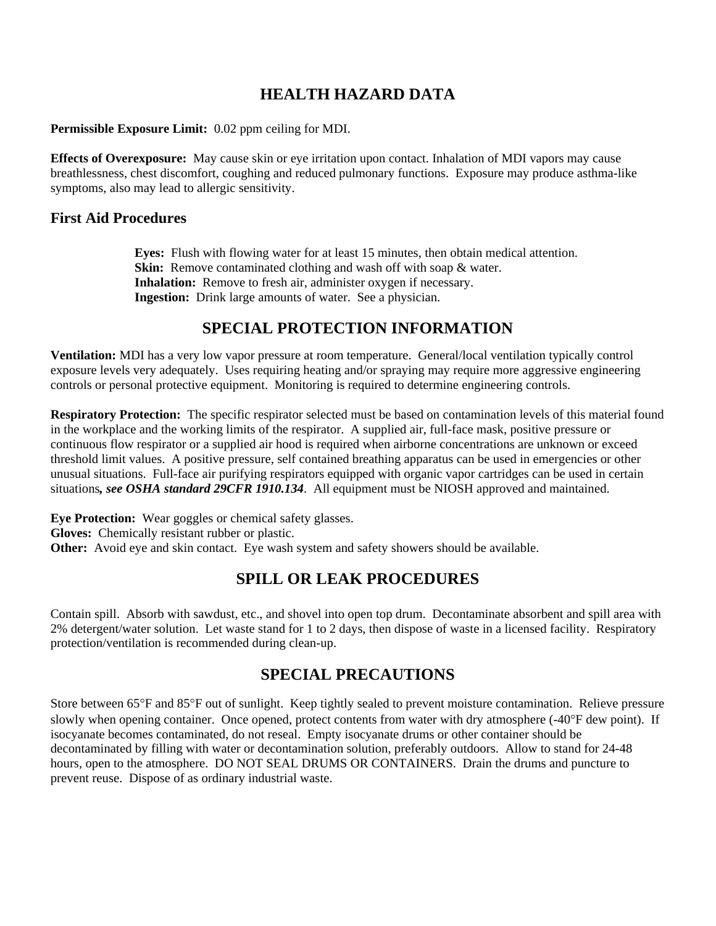**Permissible Exposure Limit:** 0.02 ppm ceiling for MDI.

**Effects of Overexposure:** May cause skin or eye irritation upon contact. Inhalation of MDI vapors may cause breathlessness, chest discomfort, coughing and reduced pulmonary functions. Exposure may produce asthma-like symptoms, also may lead to allergic sensitivity.

#### **First Aid Procedures**

**Eyes:** Flush with flowing water for at least 15 minutes, then obtain medical attention. **Skin:** Remove contaminated clothing and wash off with soap & water. **Inhalation:** Remove to fresh air, administer oxygen if necessary. **Ingestion:** Drink large amounts of water. See a physician.

# **SPECIAL PROTECTION INFORMATION**

**Ventilation:** MDI has a very low vapor pressure at room temperature. General/local ventilation typically control exposure levels very adequately. Uses requiring heating and/or spraying may require more aggressive engineering controls or personal protective equipment. Monitoring is required to determine engineering controls.

**Respiratory Protection:** The specific respirator selected must be based on contamination levels of this material found in the workplace and the working limits of the respirator. A supplied air, full-face mask, positive pressure or continuous flow respirator or a supplied air hood is required when airborne concentrations are unknown or exceed threshold limit values. A positive pressure, self contained breathing apparatus can be used in emergencies or other unusual situations. Full-face air purifying respirators equipped with organic vapor cartridges can be used in certain situations*, see OSHA standard 29CFR 1910.134*. All equipment must be NIOSH approved and maintained.

**Eye Protection:** Wear goggles or chemical safety glasses. **Gloves:** Chemically resistant rubber or plastic. **Other:** Avoid eye and skin contact. Eye wash system and safety showers should be available.

# **SPILL OR LEAK PROCEDURES**

Contain spill. Absorb with sawdust, etc., and shovel into open top drum. Decontaminate absorbent and spill area with 2% detergent/water solution. Let waste stand for 1 to 2 days, then dispose of waste in a licensed facility. Respiratory protection/ventilation is recommended during clean-up.

# **SPECIAL PRECAUTIONS**

Store between 65°F and 85°F out of sunlight. Keep tightly sealed to prevent moisture contamination. Relieve pressure slowly when opening container. Once opened, protect contents from water with dry atmosphere (-40°F dew point). If isocyanate becomes contaminated, do not reseal. Empty isocyanate drums or other container should be decontaminated by filling with water or decontamination solution, preferably outdoors. Allow to stand for 24-48 hours, open to the atmosphere. DO NOT SEAL DRUMS OR CONTAINERS. Drain the drums and puncture to prevent reuse. Dispose of as ordinary industrial waste.